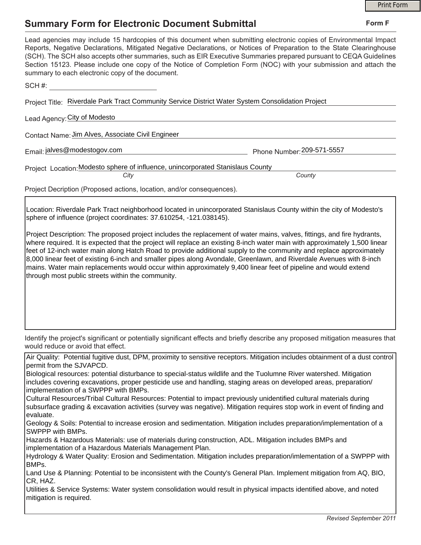## **Summary Form for Electronic Document Submittal**

|                                                                                                                                                                                                                                                                                                                                                                                                                                                                                                                                                                                                                                                                            |                               | <b>Print Form</b> |
|----------------------------------------------------------------------------------------------------------------------------------------------------------------------------------------------------------------------------------------------------------------------------------------------------------------------------------------------------------------------------------------------------------------------------------------------------------------------------------------------------------------------------------------------------------------------------------------------------------------------------------------------------------------------------|-------------------------------|-------------------|
| <b>Summary Form for Electronic Document Submittal</b>                                                                                                                                                                                                                                                                                                                                                                                                                                                                                                                                                                                                                      |                               | Form F            |
| Lead agencies may include 15 hardcopies of this document when submitting electronic copies of Environmental Impact<br>Reports, Negative Declarations, Mitigated Negative Declarations, or Notices of Preparation to the State Clearinghouse<br>(SCH). The SCH also accepts other summaries, such as EIR Executive Summaries prepared pursuant to CEQA Guidelines<br>Section 15123. Please include one copy of the Notice of Completion Form (NOC) with your submission and attach the<br>summary to each electronic copy of the document.                                                                                                                                  |                               |                   |
| SCH#: All and the state of the state of the state of the state of the state of the state of the state of the state of the state of the state of the state of the state of the state of the state of the state of the state of                                                                                                                                                                                                                                                                                                                                                                                                                                              |                               |                   |
| Project Title: Riverdale Park Tract Community Service District Water System Consolidation Project                                                                                                                                                                                                                                                                                                                                                                                                                                                                                                                                                                          |                               |                   |
| Lead Agency: City of Modesto                                                                                                                                                                                                                                                                                                                                                                                                                                                                                                                                                                                                                                               |                               |                   |
| Contact Name: Jim Alves, Associate Civil Engineer                                                                                                                                                                                                                                                                                                                                                                                                                                                                                                                                                                                                                          |                               |                   |
| Email: jalves@modestogov.com                                                                                                                                                                                                                                                                                                                                                                                                                                                                                                                                                                                                                                               | Phone Number: 209-571-5557    |                   |
| Project Location: Modesto sphere of influence, unincorporated Stanislaus County                                                                                                                                                                                                                                                                                                                                                                                                                                                                                                                                                                                            |                               |                   |
| City                                                                                                                                                                                                                                                                                                                                                                                                                                                                                                                                                                                                                                                                       | County                        |                   |
| Project Decription (Proposed actions, location, and/or consequences).                                                                                                                                                                                                                                                                                                                                                                                                                                                                                                                                                                                                      |                               |                   |
| Location: Riverdale Park Tract neighborhood located in unincorporated Stanislaus County within the city of Modesto's<br>sphere of influence (project coordinates: 37.610254, -121.038145).                                                                                                                                                                                                                                                                                                                                                                                                                                                                                 |                               |                   |
| Project Description: The proposed project includes the replacement of water mains, valves, fittings, and fire hydrants,<br>where required. It is expected that the project will replace an existing 8-inch water main with approximately 1,500 linear<br>feet of 12-inch water main along Hatch Road to provide additional supply to the community and replace approximately<br>8,000 linear feet of existing 6-inch and smaller pipes along Avondale, Greenlawn, and Riverdale Avenues with 8-inch<br>mains. Water main replacements would occur within approximately 9,400 linear feet of pipeline and would extend<br>through most public streets within the community. |                               |                   |
| Identify the project's significant or potentially significant effects and briefly describe any proposed mitigation measures that<br>would reduce or avoid that effect.                                                                                                                                                                                                                                                                                                                                                                                                                                                                                                     |                               |                   |
| Air Quality: Potential fugitive dust, DPM, proximity to sensitive receptors. Mitigation includes obtainment of a dust control<br>permit from the SJVAPCD.                                                                                                                                                                                                                                                                                                                                                                                                                                                                                                                  |                               |                   |
| Biological resources: potential disturbance to special-status wildlife and the Tuolumne River watershed. Mitigation<br>includes covering excavations, proper pesticide use and handling, staging areas on developed areas, preparation/<br>implementation of a SWPPP with BMPs.                                                                                                                                                                                                                                                                                                                                                                                            |                               |                   |
| Cultural Resources/Tribal Cultural Resources: Potential to impact previously unidentified cultural materials during<br>subsurface grading & excavation activities (survey was negative). Mitigation requires stop work in event of finding and<br>evaluate.                                                                                                                                                                                                                                                                                                                                                                                                                |                               |                   |
| Geology & Soils: Potential to increase erosion and sedimentation. Mitigation includes preparation/implementation of a<br>SWPPP with BMPs.                                                                                                                                                                                                                                                                                                                                                                                                                                                                                                                                  |                               |                   |
| Hazards & Hazardous Materials: use of materials during construction, ADL. Mitigation includes BMPs and<br>implementation of a Hazardous Materials Management Plan.                                                                                                                                                                                                                                                                                                                                                                                                                                                                                                         |                               |                   |
| Hydrology & Water Quality: Erosion and Sedimentation. Mitigation includes preparation/imlementation of a SWPPP with<br>BMPs.                                                                                                                                                                                                                                                                                                                                                                                                                                                                                                                                               |                               |                   |
| Land Use & Planning: Potential to be inconsistent with the County's General Plan. Implement mitigation from AQ, BIO,<br>CR, HAZ.                                                                                                                                                                                                                                                                                                                                                                                                                                                                                                                                           |                               |                   |
| Utilities & Service Systems: Water system consolidation would result in physical impacts identified above, and noted<br>mitigation is required.                                                                                                                                                                                                                                                                                                                                                                                                                                                                                                                            |                               |                   |
|                                                                                                                                                                                                                                                                                                                                                                                                                                                                                                                                                                                                                                                                            | <b>Revised Sentember 2011</b> |                   |